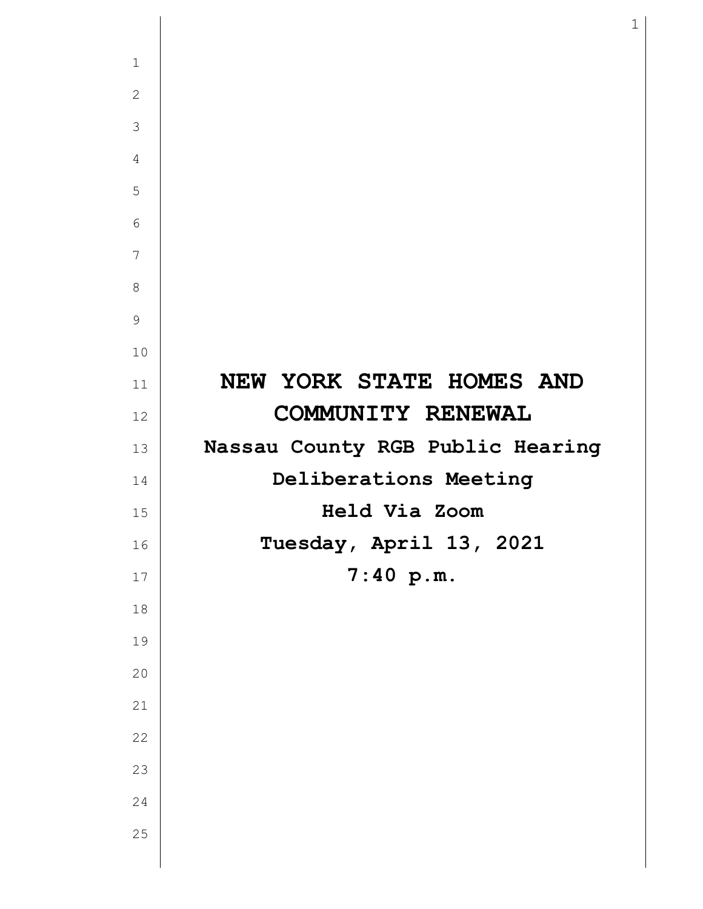| $\mathbf{1}$   |                                  |
|----------------|----------------------------------|
| $\mathbf{2}$   |                                  |
| 3              |                                  |
| $\overline{4}$ |                                  |
| 5              |                                  |
| 6              |                                  |
| $\overline{7}$ |                                  |
| $8\,$          |                                  |
| $\mathsf 9$    |                                  |
| 10             |                                  |
| 11             | NEW YORK STATE HOMES AND         |
| 12             | COMMUNITY RENEWAL                |
| 13             | Nassau County RGB Public Hearing |
| 14             | Deliberations Meeting            |
| 15             | Held Via Zoom                    |
| 16             | Tuesday, April 13, 2021          |
| $17\,$         | 7:40 p.m.                        |
| $1\,8$         |                                  |
| 19             |                                  |
| 20             |                                  |
| 21             |                                  |
| 22             |                                  |
| 23             |                                  |
| $2\sqrt{4}$    |                                  |
| 25             |                                  |
|                |                                  |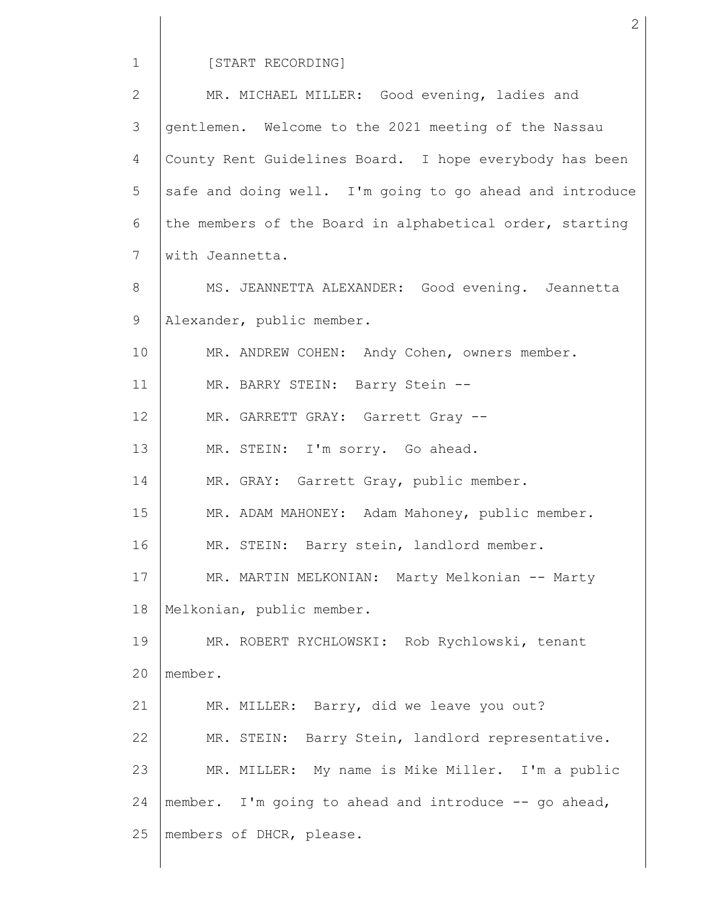# [START RECORDING]

| $\overline{2}$ | MR. MICHAEL MILLER: Good evening, ladies and             |
|----------------|----------------------------------------------------------|
| 3              | gentlemen. Welcome to the 2021 meeting of the Nassau     |
| 4              | County Rent Guidelines Board. I hope everybody has been  |
| 5              | safe and doing well. I'm going to go ahead and introduce |
| 6              | the members of the Board in alphabetical order, starting |
| 7              | with Jeannetta.                                          |
| 8              | MS. JEANNETTA ALEXANDER: Good evening. Jeannetta         |
| 9              | Alexander, public member.                                |
| 10             | MR. ANDREW COHEN: Andy Cohen, owners member.             |
| 11             | MR. BARRY STEIN: Barry Stein --                          |
| 12             | MR. GARRETT GRAY: Garrett Gray --                        |
| 13             | MR. STEIN: I'm sorry. Go ahead.                          |
| 14             | MR. GRAY: Garrett Gray, public member.                   |
| 15             | MR. ADAM MAHONEY: Adam Mahoney, public member.           |
| 16             | MR. STEIN: Barry stein, landlord member.                 |
| 17             | MR. MARTIN MELKONIAN: Marty Melkonian -- Marty           |
| 18             | Melkonian, public member.                                |
| 19             | MR. ROBERT RYCHLOWSKI: Rob Rychlowski, tenant            |
| 20             | member.                                                  |
| 21             | MR. MILLER: Barry, did we leave you out?                 |
| 22             | MR. STEIN: Barry Stein, landlord representative.         |
| 23             | MR. MILLER: My name is Mike Miller. I'm a public         |
| 24             | member. I'm going to ahead and introduce -- go ahead,    |
| 25             | members of DHCR, please.                                 |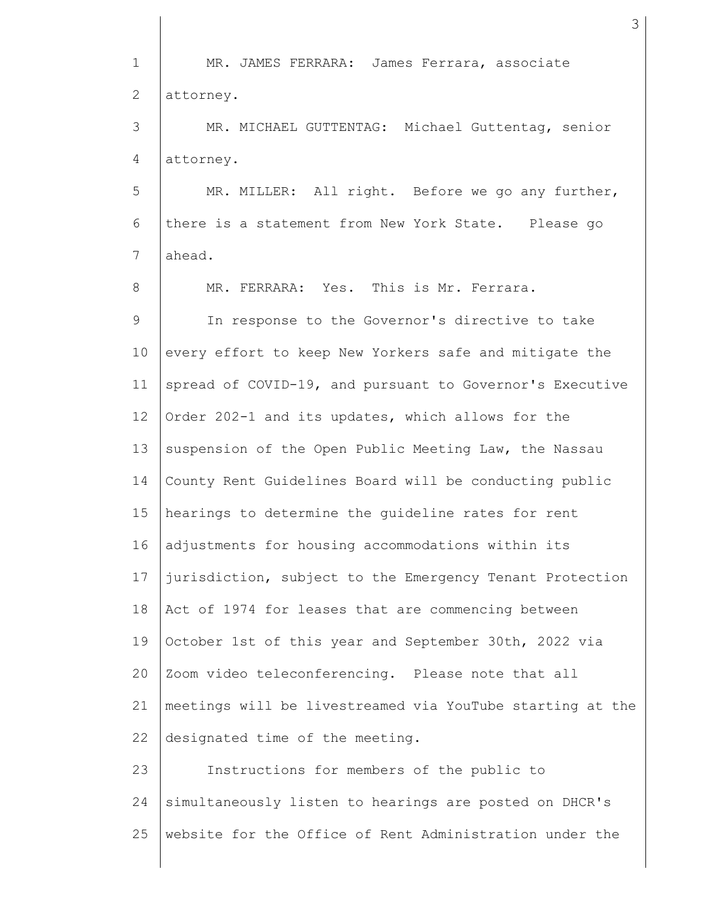1 2 3 4 5 6 7 8 9 10 11 12 13 14 15 16 17 18 19 20 21 22 23 24 25 MR. JAMES FERRARA: James Ferrara, associate attorney. MR. MICHAEL GUTTENTAG: Michael Guttentag, senior attorney. MR. MILLER: All right. Before we go any further, there is a statement from New York State. Please go ahead. MR. FERRARA: Yes. This is Mr. Ferrara. In response to the Governor's directive to take every effort to keep New Yorkers safe and mitigate the spread of COVID-19, and pursuant to Governor's Executive Order 202-1 and its updates, which allows for the suspension of the Open Public Meeting Law, the Nassau County Rent Guidelines Board will be conducting public hearings to determine the guideline rates for rent adjustments for housing accommodations within its jurisdiction, subject to the Emergency Tenant Protection Act of 1974 for leases that are commencing between October 1st of this year and September 30th, 2022 via Zoom video teleconferencing. Please note that all meetings will be livestreamed via YouTube starting at the designated time of the meeting. Instructions for members of the public to simultaneously listen to hearings are posted on DHCR's website for the Office of Rent Administration under the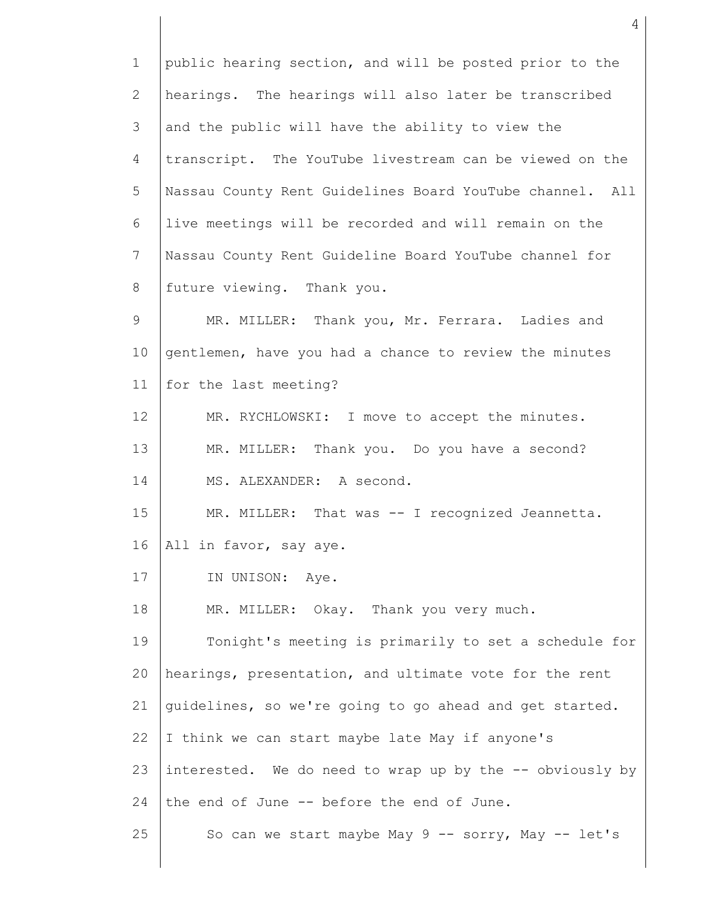1 2 3 4 5 6 7 8 9 10 11 12 13 14 15 16 17 18 19 20 21 22 23 24 25 public hearing section, and will be posted prior to the hearings. The hearings will also later be transcribed and the public will have the ability to view the transcript. The YouTube livestream can be viewed on the Nassau County Rent Guidelines Board YouTube channel. All live meetings will be recorded and will remain on the Nassau County Rent Guideline Board YouTube channel for future viewing. Thank you. MR. MILLER: Thank you, Mr. Ferrara. Ladies and gentlemen, have you had a chance to review the minutes for the last meeting? MR. RYCHLOWSKI: I move to accept the minutes. MR. MILLER: Thank you. Do you have a second? MS. ALEXANDER: A second. MR. MILLER: That was -- I recognized Jeannetta. All in favor, say aye. IN UNISON: Aye. MR. MILLER: Okay. Thank you very much. Tonight's meeting is primarily to set a schedule for hearings, presentation, and ultimate vote for the rent guidelines, so we're going to go ahead and get started. I think we can start maybe late May if anyone's interested. We do need to wrap up by the -- obviously by the end of June -- before the end of June. So can we start maybe May 9 -- sorry, May -- let's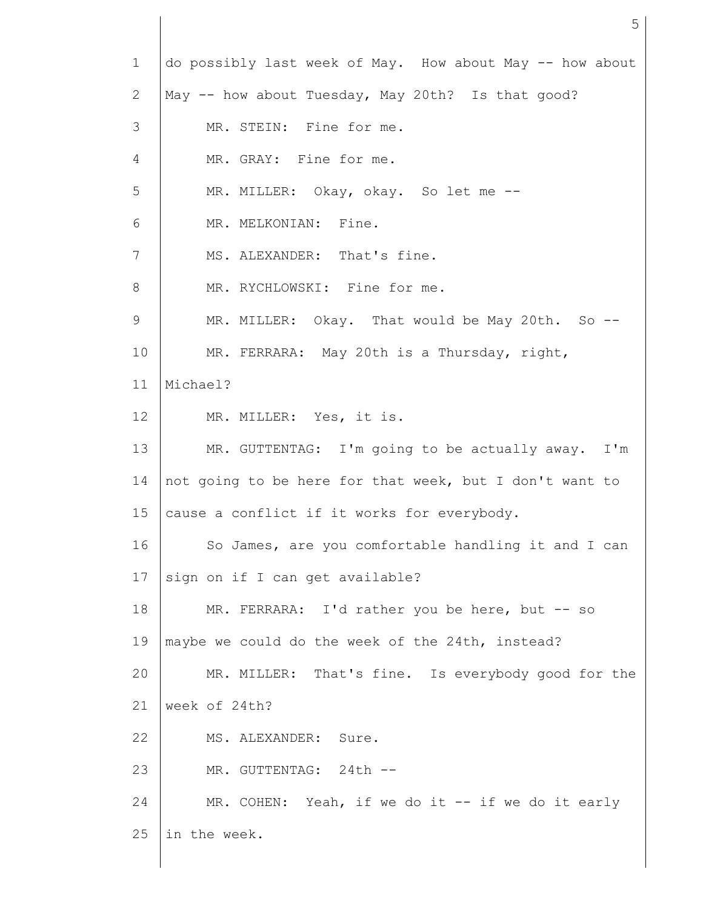| $\mathbf{1}$ | do possibly last week of May. How about May -- how about |
|--------------|----------------------------------------------------------|
| 2            | May -- how about Tuesday, May 20th? Is that good?        |
| 3            | MR. STEIN: Fine for me.                                  |
| 4            | MR. GRAY: Fine for me.                                   |
| 5            | MR. MILLER: Okay, okay. So let me --                     |
| 6            | MR. MELKONIAN: Fine.                                     |
| 7            | MS. ALEXANDER: That's fine.                              |
| 8            | MR. RYCHLOWSKI: Fine for me.                             |
| 9            | MR. MILLER: Okay. That would be May 20th. So --          |
| 10           | MR. FERRARA: May 20th is a Thursday, right,              |
| 11           | Michael?                                                 |
| 12           | MR. MILLER: Yes, it is.                                  |
| 13           | MR. GUTTENTAG: I'm going to be actually away. I'm        |
| 14           | not going to be here for that week, but I don't want to  |
| 15           | cause a conflict if it works for everybody.              |
| 16           | So James, are you comfortable handling it and I can      |
| 17           | sign on if I can get available?                          |
| 18           | MR. FERRARA: I'd rather you be here, but -- so           |
| 19           | maybe we could do the week of the 24th, instead?         |
| 20           | MR. MILLER: That's fine. Is everybody good for the       |
| 21           | week of 24th?                                            |
| 22           | MS. ALEXANDER:<br>Sure.                                  |
| 23           | MR. GUTTENTAG: 24th --                                   |
| 24           | MR. COHEN: Yeah, if we do it $--$ if we do it early      |
| 25           | in the week.                                             |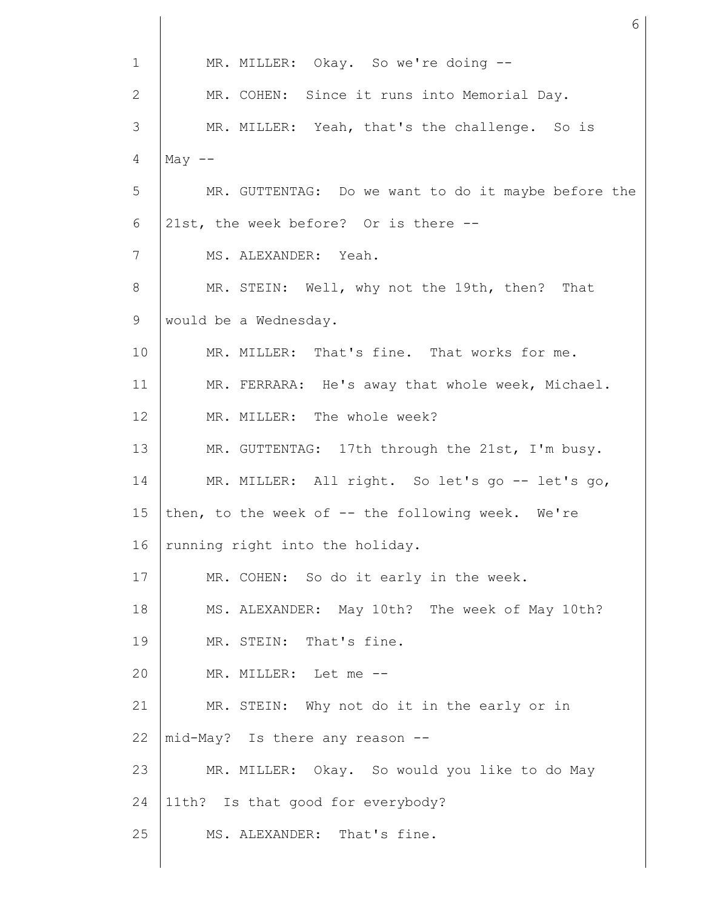| $\mathbf{1}$ | MR. MILLER: Okay. So we're doing --                 |
|--------------|-----------------------------------------------------|
| 2            | MR. COHEN: Since it runs into Memorial Day.         |
| 3            | MR. MILLER: Yeah, that's the challenge. So is       |
| 4            | May $--$                                            |
| 5            | MR. GUTTENTAG: Do we want to do it maybe before the |
| 6            | 21st, the week before? Or is there --               |
| 7            | MS. ALEXANDER: Yeah.                                |
| 8            | MR. STEIN: Well, why not the 19th, then? That       |
| 9            | would be a Wednesday.                               |
| 10           | MR. MILLER: That's fine. That works for me.         |
| 11           | MR. FERRARA: He's away that whole week, Michael.    |
| 12           | MR. MILLER: The whole week?                         |
| 13           | MR. GUTTENTAG: 17th through the 21st, I'm busy.     |
| 14           | MR. MILLER: All right. So let's go -- let's go,     |
| 15           | then, to the week of -- the following week. We're   |
| 16           | running right into the holiday.                     |
| 17           | MR. COHEN: So do it early in the week.              |
| 18           | MS. ALEXANDER: May 10th? The week of May 10th?      |
| 19           | MR. STEIN: That's fine.                             |
| 20           | MR. MILLER: Let me --                               |
| 21           | MR. STEIN: Why not do it in the early or in         |
| 22           | mid-May? Is there any reason --                     |
| 23           | MR. MILLER: Okay. So would you like to do May       |
| 24           | 11th? Is that good for everybody?                   |
| 25           | MS. ALEXANDER: That's fine.                         |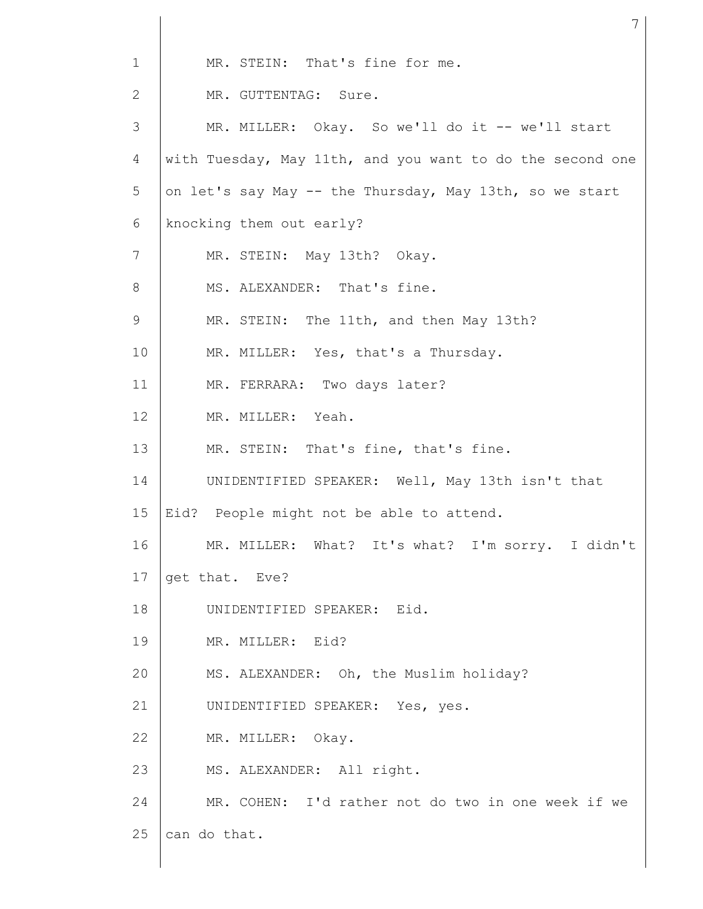| $\mathbf{1}$ | MR. STEIN: That's fine for me.                            |  |  |  |  |  |  |
|--------------|-----------------------------------------------------------|--|--|--|--|--|--|
| $\mathbf{2}$ | MR. GUTTENTAG: Sure.                                      |  |  |  |  |  |  |
| 3            | MR. MILLER: Okay. So we'll do it -- we'll start           |  |  |  |  |  |  |
| 4            | with Tuesday, May 11th, and you want to do the second one |  |  |  |  |  |  |
| 5            | on let's say May -- the Thursday, May 13th, so we start   |  |  |  |  |  |  |
| 6            | knocking them out early?                                  |  |  |  |  |  |  |
| 7            | MR. STEIN: May 13th? Okay.                                |  |  |  |  |  |  |
| 8            | MS. ALEXANDER: That's fine.                               |  |  |  |  |  |  |
| 9            | MR. STEIN: The 11th, and then May 13th?                   |  |  |  |  |  |  |
| 10           | MR. MILLER: Yes, that's a Thursday.                       |  |  |  |  |  |  |
| 11           | MR. FERRARA: Two days later?                              |  |  |  |  |  |  |
| 12           | MR. MILLER: Yeah.                                         |  |  |  |  |  |  |
| 13           | MR. STEIN: That's fine, that's fine.                      |  |  |  |  |  |  |
| 14           | UNIDENTIFIED SPEAKER: Well, May 13th isn't that           |  |  |  |  |  |  |
| 15           | Eid? People might not be able to attend.                  |  |  |  |  |  |  |
| 16           | MR. MILLER: What? It's what? I'm sorry. I didn't          |  |  |  |  |  |  |
| 17           | get that. Eve?                                            |  |  |  |  |  |  |
| 18           | UNIDENTIFIED SPEAKER: Eid.                                |  |  |  |  |  |  |
| 19           | MR. MILLER: Eid?                                          |  |  |  |  |  |  |
| 20           | MS. ALEXANDER: Oh, the Muslim holiday?                    |  |  |  |  |  |  |
| 21           | UNIDENTIFIED SPEAKER: Yes, yes.                           |  |  |  |  |  |  |
| 22           | MR. MILLER: Okay.                                         |  |  |  |  |  |  |
| 23           | MS. ALEXANDER: All right.                                 |  |  |  |  |  |  |
| 24           | MR. COHEN: I'd rather not do two in one week if we        |  |  |  |  |  |  |
| 25           | can do that.                                              |  |  |  |  |  |  |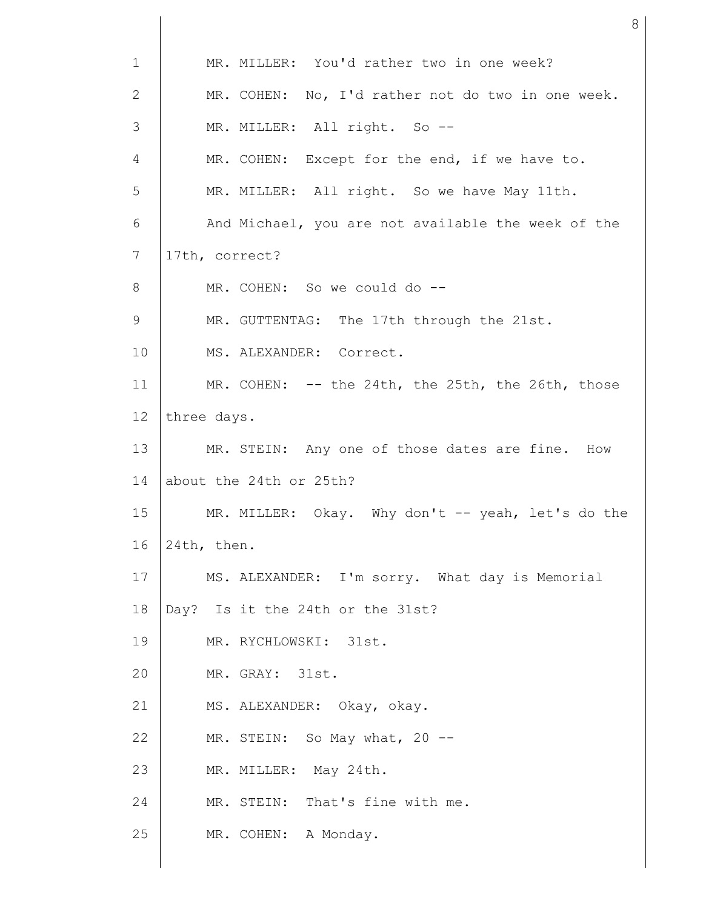| $\mathbf 1$     | MR. MILLER: You'd rather two in one week?          |  |  |  |  |
|-----------------|----------------------------------------------------|--|--|--|--|
| $\mathbf{2}$    | MR. COHEN: No, I'd rather not do two in one week.  |  |  |  |  |
| 3               | MR. MILLER: All right. So --                       |  |  |  |  |
| 4               | MR. COHEN: Except for the end, if we have to.      |  |  |  |  |
| 5               | MR. MILLER: All right. So we have May 11th.        |  |  |  |  |
| 6               | And Michael, you are not available the week of the |  |  |  |  |
| 7               | 17th, correct?                                     |  |  |  |  |
| 8               | MR. COHEN: So we could do --                       |  |  |  |  |
| 9               | MR. GUTTENTAG: The 17th through the 21st.          |  |  |  |  |
| 10              | MS. ALEXANDER: Correct.                            |  |  |  |  |
| 11              | MR. COHEN: -- the 24th, the 25th, the 26th, those  |  |  |  |  |
| 12 <sup>°</sup> | three days.                                        |  |  |  |  |
| 13              | MR. STEIN: Any one of those dates are fine. How    |  |  |  |  |
| 14              | about the 24th or 25th?                            |  |  |  |  |
| 15              | MR. MILLER: Okay. Why don't -- yeah, let's do the  |  |  |  |  |
| 16              | 24th, then.                                        |  |  |  |  |
| 17              | MS. ALEXANDER: I'm sorry. What day is Memorial     |  |  |  |  |
| 18              | Day? Is it the 24th or the 31st?                   |  |  |  |  |
| 19              | MR. RYCHLOWSKI: 31st.                              |  |  |  |  |
| 20              | MR. GRAY: 31st.                                    |  |  |  |  |
| 21              | MS. ALEXANDER: Okay, okay.                         |  |  |  |  |
| 22              | MR. STEIN: So May what, 20 --                      |  |  |  |  |
| 23              | MR. MILLER: May 24th.                              |  |  |  |  |
| 24              | MR. STEIN: That's fine with me.                    |  |  |  |  |
| 25              | MR. COHEN: A Monday.                               |  |  |  |  |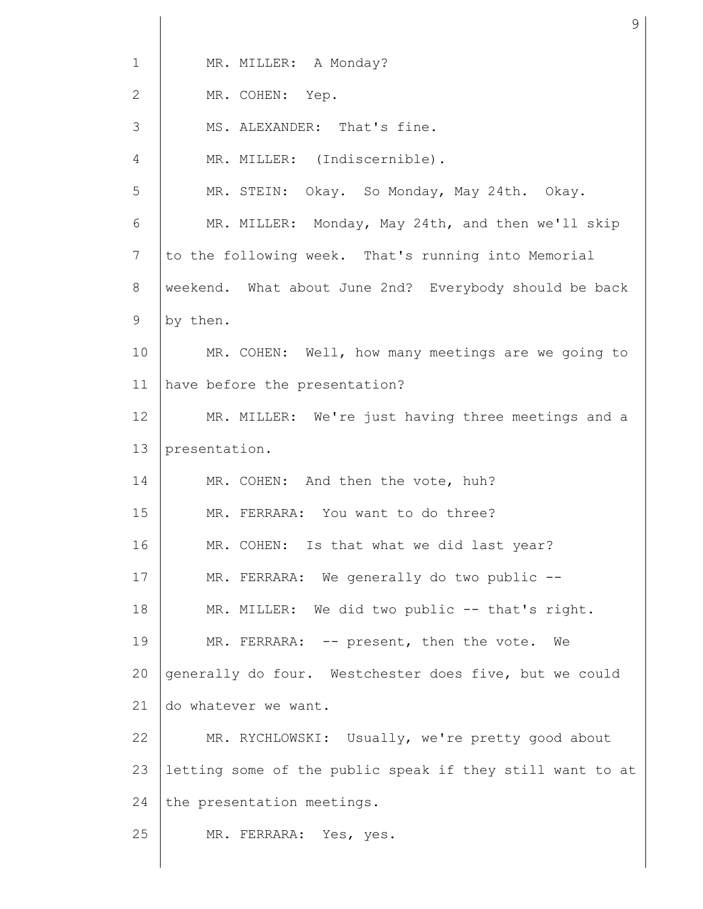| $\mathbf 1$    | MR. MILLER: A Monday?                                     |
|----------------|-----------------------------------------------------------|
| $\overline{2}$ | MR. COHEN: Yep.                                           |
| 3              | MS. ALEXANDER: That's fine.                               |
| 4              | MR. MILLER: (Indiscernible).                              |
| 5              | MR. STEIN: Okay. So Monday, May 24th. Okay.               |
| 6              | MR. MILLER: Monday, May 24th, and then we'll skip         |
| 7              | to the following week. That's running into Memorial       |
| 8              | weekend. What about June 2nd? Everybody should be back    |
| 9              | by then.                                                  |
| 10             | MR. COHEN: Well, how many meetings are we going to        |
| 11             | have before the presentation?                             |
| 12             | MR. MILLER: We're just having three meetings and a        |
| 13             | presentation.                                             |
| 14             | MR. COHEN: And then the vote, huh?                        |
| 15             | MR. FERRARA: You want to do three?                        |
| 16             | MR. COHEN: Is that what we did last year?                 |
| 17             | MR. FERRARA: We generally do two public --                |
| 18             | MR. MILLER: We did two public -- that's right.            |
| 19             | MR. FERRARA: -- present, then the vote. We                |
| 20             | generally do four. Westchester does five, but we could    |
| 21             | do whatever we want.                                      |
| 22             | MR. RYCHLOWSKI: Usually, we're pretty good about          |
| 23             | letting some of the public speak if they still want to at |
| 24             | the presentation meetings.                                |
| 25             | MR. FERRARA: Yes, yes.                                    |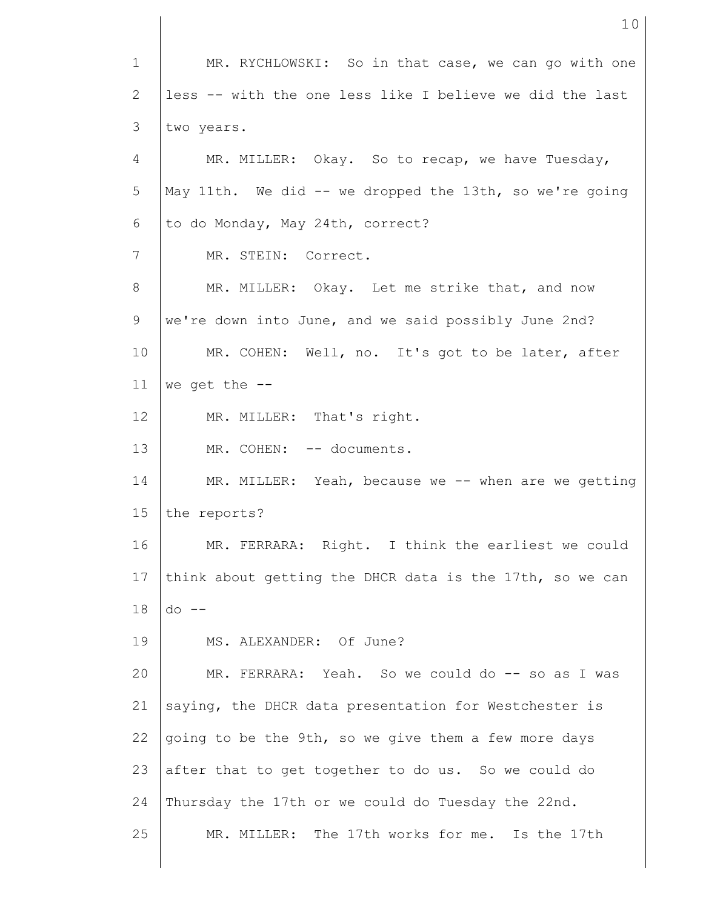1 2 3 4 5 6 7 8 9 10 11 12 13 14 15 16 17 18 19 20 21 22 23 24 25 MR. RYCHLOWSKI: So in that case, we can go with one less -- with the one less like I believe we did the last two years. MR. MILLER: Okay. So to recap, we have Tuesday, May 11th. We did -- we dropped the 13th, so we're going to do Monday, May 24th, correct? MR. STEIN: Correct. MR. MILLER: Okay. Let me strike that, and now we're down into June, and we said possibly June 2nd? MR. COHEN: Well, no. It's got to be later, after we get the -- MR. MILLER: That's right. MR. COHEN: -- documents. MR. MILLER: Yeah, because we -- when are we getting the reports? MR. FERRARA: Right. I think the earliest we could think about getting the DHCR data is the 17th, so we can do -- MS. ALEXANDER: Of June? MR. FERRARA: Yeah. So we could do -- so as I was saying, the DHCR data presentation for Westchester is going to be the 9th, so we give them a few more days after that to get together to do us. So we could do Thursday the 17th or we could do Tuesday the 22nd. MR. MILLER: The 17th works for me. Is the 17th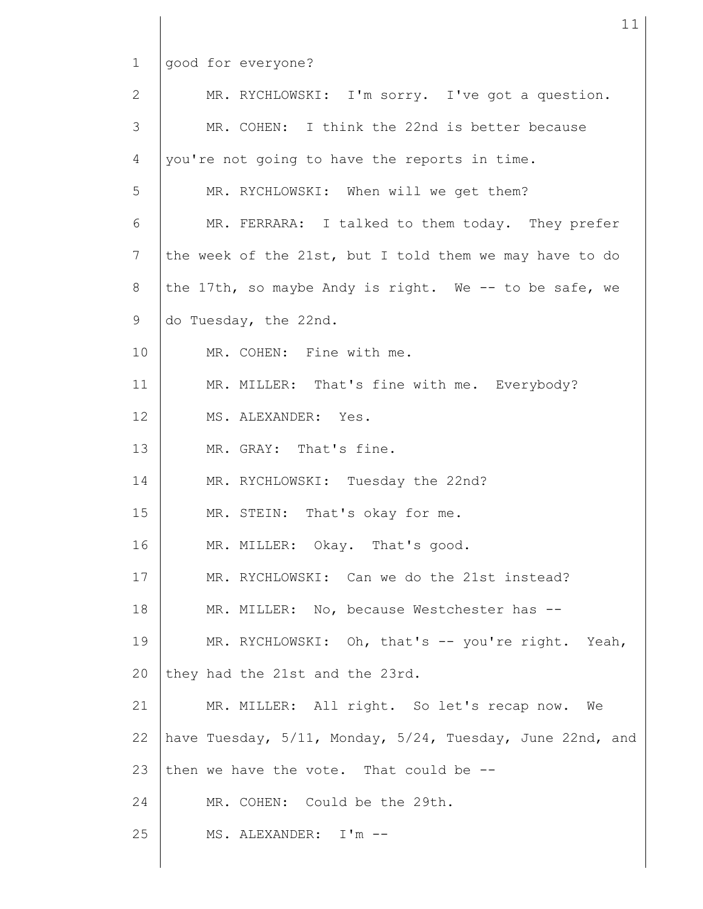good for everyone?

| 2               | MR. RYCHLOWSKI: I'm sorry. I've got a question.           |
|-----------------|-----------------------------------------------------------|
| 3               | MR. COHEN: I think the 22nd is better because             |
| 4               | you're not going to have the reports in time.             |
| 5               | MR. RYCHLOWSKI: When will we get them?                    |
| 6               | MR. FERRARA: I talked to them today. They prefer          |
| $7\phantom{.0}$ | the week of the 21st, but I told them we may have to do   |
| 8               | the 17th, so maybe Andy is right. We -- to be safe, we    |
| 9               | do Tuesday, the 22nd.                                     |
| 10              | MR. COHEN: Fine with me.                                  |
| 11              | MR. MILLER: That's fine with me. Everybody?               |
| 12              | MS. ALEXANDER: Yes.                                       |
| 13              | MR. GRAY: That's fine.                                    |
| 14              | MR. RYCHLOWSKI: Tuesday the 22nd?                         |
| 15              | MR. STEIN: That's okay for me.                            |
| 16              | MR. MILLER: Okay. That's good.                            |
| 17              | MR. RYCHLOWSKI: Can we do the 21st instead?               |
| 18              | MR. MILLER: No, because Westchester has --                |
| 19              | MR. RYCHLOWSKI: Oh, that's -- you're right. Yeah,         |
| 20              | they had the 21st and the 23rd.                           |
| 21              | MR. MILLER: All right. So let's recap now. We             |
| 22              | have Tuesday, 5/11, Monday, 5/24, Tuesday, June 22nd, and |
| 23              | then we have the vote. That could be --                   |
| 24              | MR. COHEN: Could be the 29th.                             |
| 25              | MS. ALEXANDER: I'm --                                     |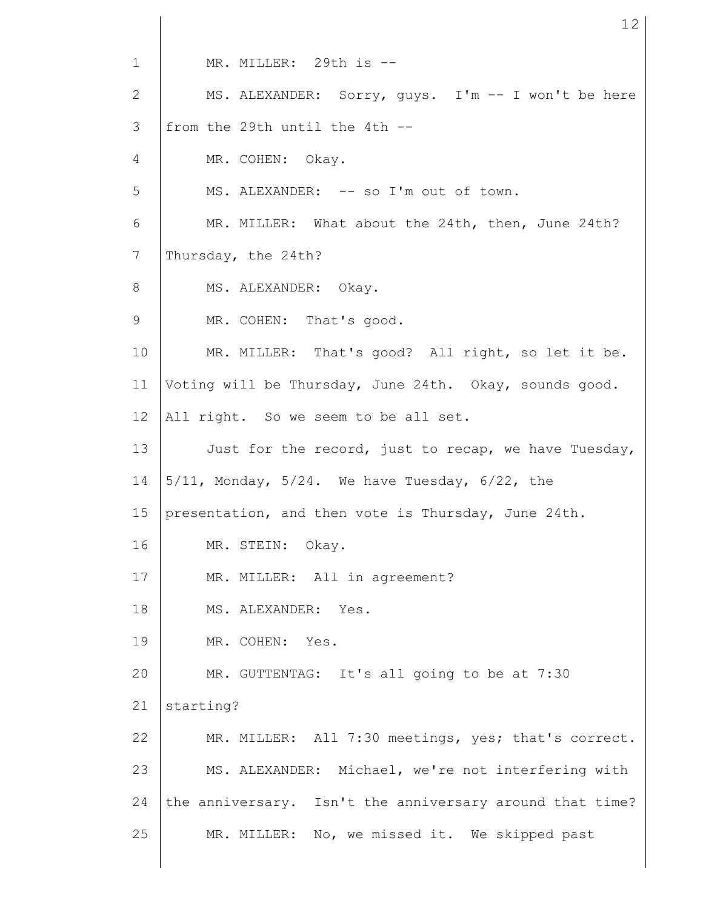1 2 3 4 5 6 7 8 9 10 11 12 13 14 15 16 17 18 19 20 21 22 23 24 25 MR. MILLER: 29th is -- MS. ALEXANDER: Sorry, guys. I'm -- I won't be here from the 29th until the 4th -- MR. COHEN: Okay. MS. ALEXANDER: -- so I'm out of town. MR. MILLER: What about the 24th, then, June 24th? Thursday, the 24th? MS. ALEXANDER: Okay. MR. COHEN: That's good. MR. MILLER: That's good? All right, so let it be. Voting will be Thursday, June 24th. Okay, sounds good. All right. So we seem to be all set. Just for the record, just to recap, we have Tuesday,  $5/11$ , Monday,  $5/24$ . We have Tuesday,  $6/22$ , the presentation, and then vote is Thursday, June 24th. MR. STEIN: Okay. MR. MILLER: All in agreement? MS. ALEXANDER: Yes. MR. COHEN: Yes. MR. GUTTENTAG: It's all going to be at 7:30 starting? MR. MILLER: All 7:30 meetings, yes; that's correct. MS. ALEXANDER: Michael, we're not interfering with the anniversary. Isn't the anniversary around that time? MR. MILLER: No, we missed it. We skipped past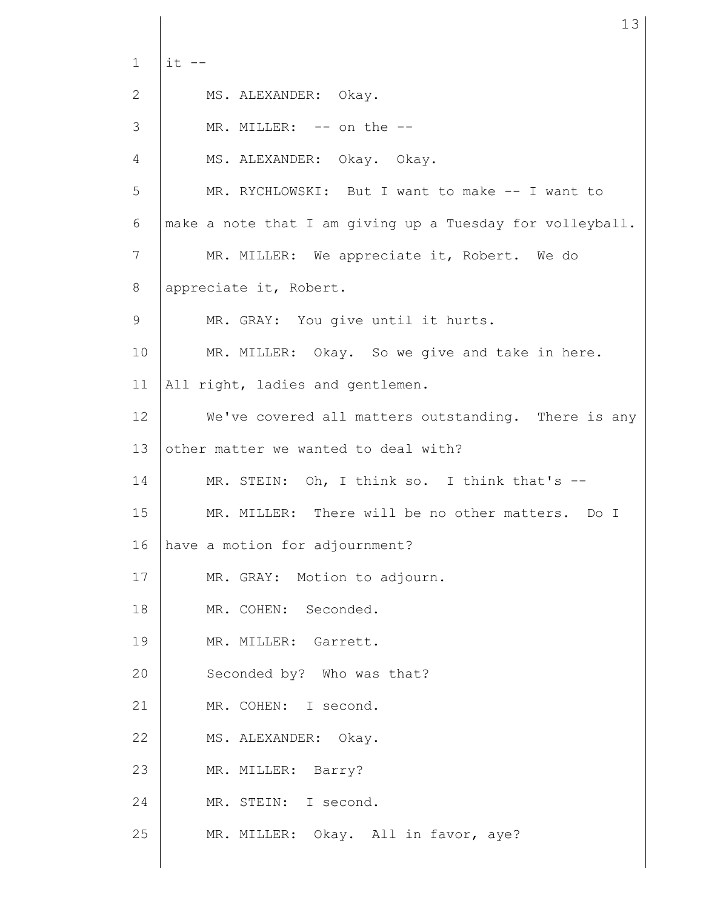1 2 3 4 5 6 7 8 9 10 11 12 13 14 15 16 17 18 19 20 21 22 23 24 25  $it$   $--$ MS. ALEXANDER: Okay. MR. MILLER: -- on the --MS. ALEXANDER: Okay. Okay. MR. RYCHLOWSKI: But I want to make -- I want to make a note that I am giving up a Tuesday for volleyball. MR. MILLER: We appreciate it, Robert. We do appreciate it, Robert. MR. GRAY: You give until it hurts. MR. MILLER: Okay. So we give and take in here. All right, ladies and gentlemen. We've covered all matters outstanding. There is any other matter we wanted to deal with? MR. STEIN: Oh, I think so. I think that's --MR. MILLER: There will be no other matters. Do I have a motion for adjournment? MR. GRAY: Motion to adjourn. MR. COHEN: Seconded. MR. MILLER: Garrett. Seconded by? Who was that? MR. COHEN: I second. MS. ALEXANDER: Okay. MR. MILLER: Barry? MR. STEIN: I second. MR. MILLER: Okay. All in favor, aye?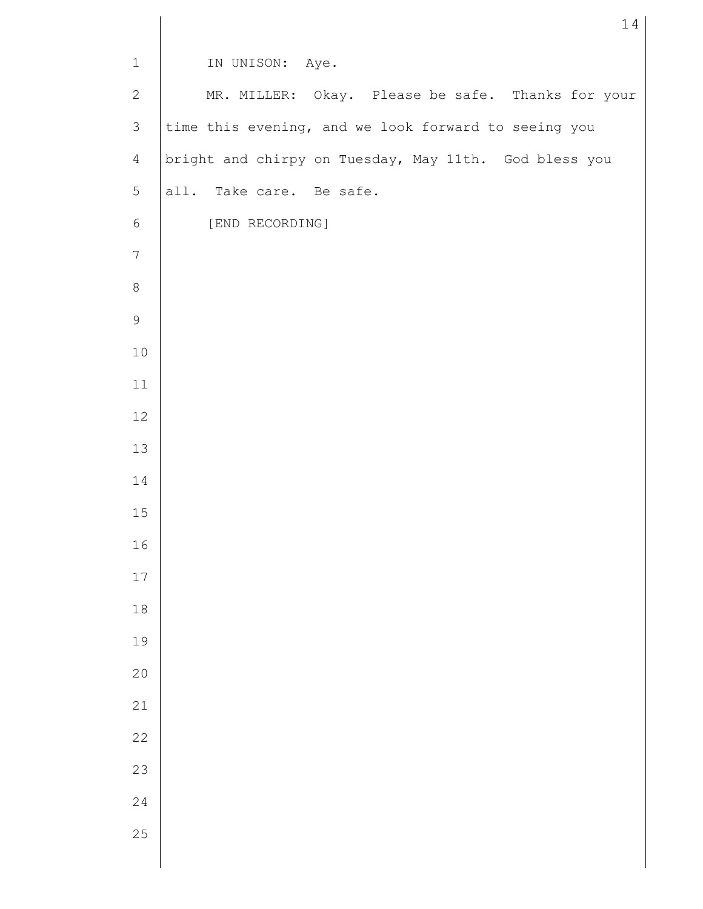| $\mathbf 1$    | IN UNISON: Aye.                                       |
|----------------|-------------------------------------------------------|
| $\mathbf{2}$   | MR. MILLER: Okay. Please be safe. Thanks for your     |
| $\mathcal{S}$  | time this evening, and we look forward to seeing you  |
| 4              | bright and chirpy on Tuesday, May 11th. God bless you |
| 5              | all. Take care. Be safe.                              |
| $\sqrt{6}$     | [END RECORDING]                                       |
| $7\phantom{.}$ |                                                       |
| $\,8\,$        |                                                       |
| $\mathsf 9$    |                                                       |
| $10$           |                                                       |
| $11\,$         |                                                       |
| 12             |                                                       |
| 13             |                                                       |
| 14             |                                                       |
| $15$           |                                                       |
| 16             |                                                       |
| $17\,$         |                                                       |
| $1\,8$         |                                                       |
| 19             |                                                       |
| 20             |                                                       |
| 21             |                                                       |
| 22             |                                                       |
| 23             |                                                       |
| 24             |                                                       |
| 25             |                                                       |
|                |                                                       |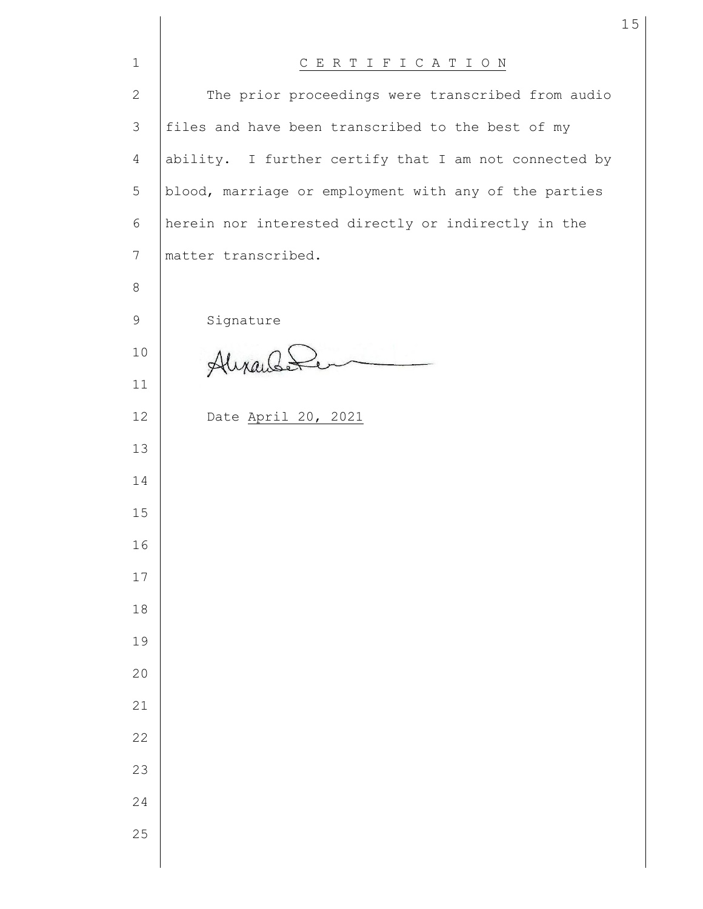| $\mathbf 1$    | CERTIFICATION                                         |
|----------------|-------------------------------------------------------|
| $\mathbf{2}$   | The prior proceedings were transcribed from audio     |
| $\mathfrak{Z}$ | files and have been transcribed to the best of my     |
| $\overline{4}$ | ability. I further certify that I am not connected by |
| 5              | blood, marriage or employment with any of the parties |
| $6\,$          | herein nor interested directly or indirectly in the   |
| 7              | matter transcribed.                                   |
| 8              |                                                       |
| 9              | Signature                                             |
| 10             | Alixandi                                              |
| 11             |                                                       |
| 12             | Date April 20, 2021                                   |
| 13             |                                                       |
| 14             |                                                       |
| 15             |                                                       |
| 16             |                                                       |
| 17             |                                                       |
| $1\,8$         |                                                       |
| 19             |                                                       |
| 20             |                                                       |
| 21             |                                                       |
| 22             |                                                       |
| 23             |                                                       |
| 24             |                                                       |
| 25             |                                                       |
|                |                                                       |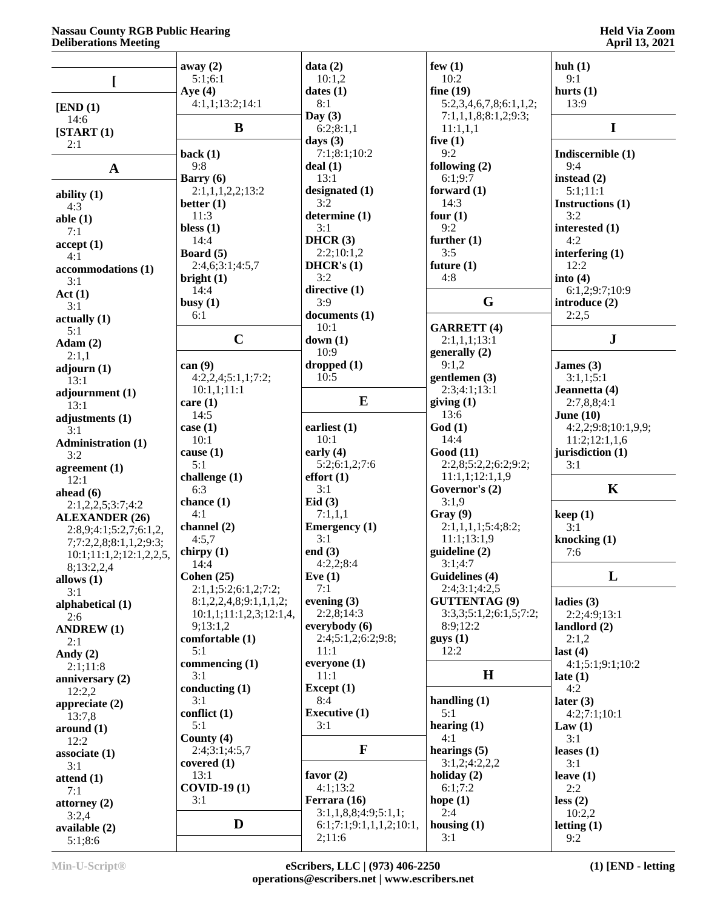#### **Nassau County RGB Public Hearing Deliberations Meeting**

## **Held Via Zoom April 13, 2021**

|                           | away $(2)$<br>5:1;6:1             | data(2)<br>10:1,2           | few $(1)$<br>10:2               | huh(1)<br>9:1               |
|---------------------------|-----------------------------------|-----------------------------|---------------------------------|-----------------------------|
| L                         | Aye $(4)$                         | dates(1)                    | fine $(19)$                     | hurts $(1)$                 |
|                           | 4:1,1;13:2;14:1                   | 8:1                         | 5:2,3,4,6,7,8;6:1,1,2;          | 13:9                        |
| [END (1)]<br>14:6         |                                   | Day $(3)$                   | 7:1,1,1,8;8:1,2;9:3;            |                             |
| [START (1)]               | B                                 | 6:2;8:1,1                   | 11:1,1,1                        | $\mathbf I$                 |
| 2:1                       |                                   | days $(3)$                  | five $(1)$                      |                             |
|                           | back(1)                           | 7:1;8:1;10:2                | 9:2                             | Indiscernible (1)           |
| $\mathbf A$               | 9:8                               | deal(1)                     | following $(2)$                 | 9:4                         |
|                           | Barry $(6)$                       | 13:1                        | 6:1;9:7                         | instead (2)                 |
| ability $(1)$             | 2:1,1,1,2,2;13:2                  | designated (1)              | forward $(1)$                   | 5:1;11:1                    |
| 4:3                       | better $(1)$                      | 3:2                         | 14:3                            | Instructions (1)            |
| able $(1)$                | 11:3<br>bless $(1)$               | determine (1)<br>3:1        | four $(1)$<br>9:2               | 3:2<br>interested (1)       |
| 7:1                       | 14:4                              | DHCR(3)                     | further $(1)$                   | 4:2                         |
| accept(1)                 | Board $(5)$                       | 2:2;10:1,2                  | 3:5                             | interfering $(1)$           |
| 4:1<br>accommodations (1) | 2:4,6;3:1;4:5,7                   | DHCR's $(1)$                | future $(1)$                    | 12:2                        |
| 3:1                       | bright $(1)$                      | 3:2                         | 4:8                             | into $(4)$                  |
| Act(1)                    | 14:4                              | directive $(1)$             |                                 | 6:1,2;9:7;10:9              |
| 3:1                       | busy $(1)$                        | 3:9                         | G                               | introduce (2)               |
| actually(1)               | 6:1                               | documents (1)               |                                 | 2:2,5                       |
| 5:1                       |                                   | 10:1                        | <b>GARRETT (4)</b>              |                             |
| Adam(2)                   | $\mathbf C$                       | down(1)                     | 2:1,1,1;13:1                    | ${\bf J}$                   |
| 2:1,1                     |                                   | 10:9                        | generally (2)                   |                             |
| adjourn (1)               | can $(9)$                         | dropped(1)<br>10:5          | 9:1,2                           | James $(3)$<br>3:1,1;5:1    |
| 13:1                      | 4:2,2,4;5:1,1;7:2;<br>10:1,1;11:1 |                             | gentlemen $(3)$<br>2:3;4:1;13:1 | Jeannetta (4)               |
| adjournment (1)           | care(1)                           | $\bf{E}$                    | giving(1)                       | 2:7,8,8;4:1                 |
| 13:1                      | 14:5                              |                             | 13:6                            | June $(10)$                 |
| adjustments (1)<br>3:1    | case $(1)$                        | earliest $(1)$              | God(1)                          | 4:2,2;9:8;10:1,9,9;         |
| <b>Administration (1)</b> | 10:1                              | 10:1                        | 14:4                            | 11:2;12:1,1,6               |
| 3:2                       | cause $(1)$                       | early $(4)$                 | Good(11)                        | jurisdiction (1)            |
| agreement $(1)$           | 5:1                               | 5:2;6:1,2;7:6               | 2:2,8;5:2,2;6:2;9:2;            | 3:1                         |
| 12:1                      | challenge $(1)$                   | effort(1)                   | 11:1,1;12:1,1,9                 |                             |
| ahead $(6)$               | 6:3                               | 3:1                         | Governor's (2)                  | $\mathbf K$                 |
| 2:1,2,2,5;3:7;4:2         | chance $(1)$                      | Eid $(3)$                   | 3:1,9                           |                             |
| <b>ALEXANDER (26)</b>     | 4:1                               | 7:1,1,1                     | Gray (9)                        | keep(1)                     |
| 2:8,9;4:1;5:2,7;6:1,2,    | channel $(2)$                     | <b>Emergency</b> (1)<br>3:1 | 2:1,1,1,1;5:4;8:2;              | 3:1                         |
| 7;7:2,2,8;8:1,1,2;9:3;    | 4:5,7                             | end $(3)$                   | 11:1;13:1,9<br>guideline (2)    | knocking (1)<br>7:6         |
| 10:1;11:1,2;12:1,2,2,5,   | chirpy $(1)$<br>14:4              | 4:2,2;8:4                   | 3:1;4:7                         |                             |
| 8;13:2,2,4                | Cohen $(25)$                      | Eve $(1)$                   | Guidelines (4)                  | L                           |
| allows $(1)$<br>3:1       | 2:1,1;5:2;6:1,2;7:2;              | 7:1                         | 2:4;3:1;4:2,5                   |                             |
| alphabetical (1)          | 8:1,2,2,4,8;9:1,1,1,2;            | evening $(3)$               | <b>GUTTENTAG (9)</b>            | ladies $(3)$                |
| 2:6                       | 10:1,1;11:1,2,3;12:1,4,           | 2:2,8;14:3                  | 3:3,3;5:1,2;6:1,5;7:2;          | 2:2;4:9;13:1                |
| <b>ANDREW (1)</b>         | 9;13:1,2                          | everybody (6)               | 8:9;12:2                        | landlord (2)                |
| 2:1                       | comfortable (1)                   | 2:4;5:1,2;6:2;9:8;          | gays(1)                         | 2:1,2                       |
| Andy $(2)$                | 5:1                               | 11:1                        | 12:2                            | last(4)                     |
| 2:1;11:8                  | commencing $(1)$                  | everyone $(1)$              |                                 | 4:1;5:1;9:1;10:2            |
| anniversary (2)           | 3:1                               | 11:1                        | H                               | late $(1)$                  |
| 12:2,2                    | conducting $(1)$<br>3:1           | Except $(1)$<br>8:4         | handling $(1)$                  | 4:2                         |
| appreciate $(2)$          | conflict (1)                      | <b>Executive (1)</b>        | 5:1                             | later $(3)$<br>4:2;7:1;10:1 |
| 13:7,8                    | 5:1                               | 3:1                         | hearing $(1)$                   | Law $(1)$                   |
| around (1)<br>12:2        | County (4)                        |                             | 4:1                             | 3:1                         |
| associate (1)             | 2:4;3:1;4:5,7                     | $\mathbf{F}$                | hearings $(5)$                  | leases $(1)$                |
| 3:1                       | covered $(1)$                     |                             | 3:1,2;4:2,2,2                   | 3:1                         |
| attend $(1)$              | 13:1                              | favor $(2)$                 | holiday $(2)$                   | leave $(1)$                 |
| 7:1                       | <b>COVID-19 (1)</b>               | 4:1;13:2                    | 6:1;7:2                         | 2:2                         |
| attorney $(2)$            | 3:1                               | Ferrara (16)                | hope $(1)$                      | less (2)                    |
| 3:2,4                     |                                   | 3:1,1,8,8;4:9;5:1,1;        | 2:4                             | 10:2,2                      |
| available (2)             | D                                 | 6:1;7:1;9:1,1,1,2;10:1,     | housing $(1)$                   | letting $(1)$               |
| 5:1;8:6                   |                                   | 2;11:6                      | 3:1                             | 9:2                         |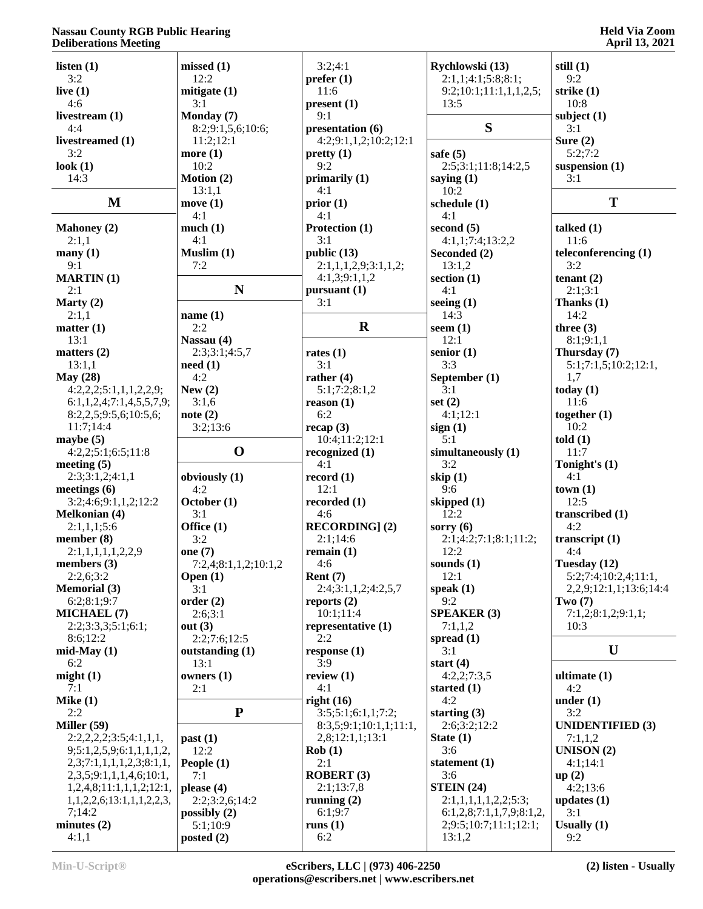### **Nassau County RGB Public Hearing Deliberations Meeting**

## **Held Via Zoom April 13, 2021**

| o                                    |                      |                        |                         |                                 |
|--------------------------------------|----------------------|------------------------|-------------------------|---------------------------------|
| listen $(1)$                         | missed(1)            | 3:2;4:1                | Rychlowski (13)         | still $(1)$                     |
| 3:2                                  | 12:2                 | prefer(1)              | 2:1,1;4:1;5:8;8:1;      | 9:2                             |
| live $(1)$                           | mitigate $(1)$       | 11:6                   | 9:2;10:1;11:1,1,1,2,5;  | strike $(1)$                    |
| 4:6                                  | 3:1                  | present(1)             | 13:5                    | 10:8                            |
| livestream (1)                       | Monday (7)           | 9:1                    |                         | subject $(1)$                   |
| 4:4                                  | 8:2;9:1,5,6;10:6;    | presentation (6)       | S                       | 3:1                             |
| livestreamed (1)                     | 11:2;12:1            | 4:2;9:1,1,2;10:2;12:1  |                         | Sure $(2)$                      |
| 3:2                                  | more $(1)$           | pretty(1)              | safe $(5)$              | 5:2;7:2                         |
| look $(1)$                           | 10:2                 | 9:2                    | 2:5;3:1;11:8;14:2,5     | suspension $(1)$                |
| 14:3                                 | Motion (2)           | primarily (1)          | saying $(1)$            | 3:1                             |
|                                      | 13:1,1               | 4:1                    | 10:2                    |                                 |
| M                                    | move $(1)$           | prior(1)               | schedule (1)            | T                               |
|                                      | 4:1                  | 4:1                    | 4:1                     |                                 |
| <b>Mahoney (2)</b>                   | much(1)              | Protection (1)         | second $(5)$            | talked $(1)$                    |
| 2:1.1                                | 4:1                  | 3:1                    | 4:1,1;7:4;13:2,2        | 11:6                            |
| $\mathbf{many}$ (1)                  | Muslim $(1)$         | public (13)            | Seconded (2)            | teleconferencing (1)            |
| 9:1                                  | 7:2                  | 2:1,1,1,2,9;3:1,1,2;   | 13:1,2                  | 3:2                             |
|                                      |                      | 4:1,3;9:1,1,2          | section $(1)$           |                                 |
| <b>MARTIN</b> (1)<br>2:1             | N                    | pursuant (1)           | 4:1                     | tenant $(2)$<br>2:1;3:1         |
|                                      |                      | 3:1                    |                         |                                 |
| Marty $(2)$                          |                      |                        | seeing $(1)$            | Thanks $(1)$                    |
| 2:1,1                                | name $(1)$           | $\mathbf R$            | 14:3                    | 14:2                            |
| matter (1)                           | 2:2                  |                        | seem $(1)$              | three $(3)$                     |
| 13:1                                 | Nassau (4)           |                        | 12:1                    | 8:1;9:1,1                       |
| matters $(2)$                        | 2:3;3:1;4:5,7        | rates $(1)$            | senior $(1)$            | Thursday (7)                    |
| 13:1,1                               | need(1)              | 3:1                    | 3:3                     | 5:1;7:1,5;10:2;12:1,            |
| May $(28)$                           | 4:2                  | rather $(4)$           | September (1)           | 1,7                             |
| 4:2,2,2;5:1,1,1,2,2,9;               | New $(2)$            | 5:1;7:2;8:1,2          | 3:1                     | today $(1)$                     |
| 6:1,1,2,4;7:1,4,5,5,7,9;             | 3:1,6                | reason(1)              | set $(2)$               | 11:6                            |
| 8:2,2,5;9:5,6;10:5,6;                | note(2)              | 6:2                    | 4:1;12:1                | together $(1)$                  |
| 11:7;14:4                            | 3:2;13:6             | recap(3)               | sign(1)                 | 10:2                            |
| maybe $(5)$                          |                      | 10:4;11:2;12:1         | 5:1                     | told(1)                         |
| 4:2,2;5:1;6:5;11:8                   | $\mathbf 0$          | recognized (1)         | simultaneously (1)      | 11:7                            |
| meeting $(5)$                        |                      | 4:1                    | 3:2                     | Tonight's (1)                   |
| 2:3;3:1,2;4:1,1                      | obviously (1)        | record $(1)$           | skip $(1)$              | 4:1                             |
| meetings $(6)$                       | 4:2                  | 12:1                   | 9:6                     | town(1)                         |
| 3:2;4:6;9:1,1,2;12:2                 | October (1)          | recorded $(1)$         | skipped $(1)$           | 12:5                            |
| <b>Melkonian (4)</b>                 | 3:1                  | 4:6                    | 12:2                    | transcribed (1)                 |
| 2:1,1,1;5:6                          | Office (1)           | <b>RECORDING</b> ] (2) | sorry $(6)$             | 4:2                             |
| member $(8)$                         | 3:2                  | 2:1;14:6               | 2:1;4:2;7:1;8:1;11:2;   | transcript $(1)$                |
| 2:1,1,1,1,1,2,2,9                    | one $(7)$            | remain $(1)$           | 12:2                    | 4:4                             |
| members (3)                          | 7:2,4;8:1,1,2;10:1,2 | 4:6                    | sounds $(1)$            | Tuesday (12)                    |
| 2:2,6;3:2                            | Open $(1)$           | Rent $(7)$             | 12:1                    | 5:2;7:4;10:2,4;11:1,            |
| <b>Memorial (3)</b>                  | 3:1                  | 2:4;3:1,1,2;4:2,5,7    | speak $(1)$             | 2, 2, 9; 12: 1, 1; 13: 6; 14: 4 |
| 6:2;8:1;9:7                          | order(2)             | reports $(2)$          | 9:2                     | Two $(7)$                       |
| <b>MICHAEL (7)</b>                   | 2:6;3:1              | 10:1;11:4              | <b>SPEAKER (3)</b>      | 7:1,2;8:1,2;9:1,1;              |
| 2:2;3:3;3;5:1;6:1;                   | out $(3)$            | representative (1)     | 7:1,1,2                 | 10:3                            |
| 8:6;12:2                             | 2:2;7:6;12:5         | 2:2                    | spread $(1)$            |                                 |
| $mid$ -May $(1)$                     | outstanding (1)      | response(1)            | 3:1                     | U                               |
| 6:2                                  | 13:1                 | 3:9                    | start $(4)$             |                                 |
| might(1)                             | owners $(1)$         | review $(1)$           | 4:2,2;7:3,5             | ultimate $(1)$                  |
| 7:1                                  | 2:1                  | 4:1                    | started $(1)$           | 4:2                             |
| Mike $(1)$                           |                      | right $(16)$           | 4:2                     | under $(1)$                     |
| 2:2                                  | ${\bf P}$            | 3:5;5:1;6:1,1;7:2;     | starting $(3)$          | 3:2                             |
| Miller $(59)$                        |                      | 8:3,5;9:1;10:1,1;11:1, | 2:6;3:2;12:2            | <b>UNIDENTIFIED (3)</b>         |
| 2:2,2,2,2;3:5;4:1,1,1,               |                      |                        |                         |                                 |
|                                      | past (1)             | 2,8;12:1,1;13:1        | State $(1)$             | 7:1,1,2                         |
| 9;5:1,2,5,9;6:1,1,1,1,2,             | 12:2                 | Rob(1)                 | 3:6                     | <b>UNISON</b> $(2)$             |
| 2,3;7:1,1,1,1,2,3;8:1,1,             | People (1)           | 2:1                    | statement $(1)$         | 4:1;14:1                        |
| 2, 3, 5; 9: 1, 1, 1, 4, 6; 10: 1,    | 7:1                  | <b>ROBERT (3)</b>      | 3:6                     | up(2)                           |
| 1,2,4,8;11:1,1,1,2;12:1,             | please $(4)$         | 2:1;13:7,8             | STEIN(24)               | 4:2;13:6                        |
| 1, 1, 2, 2, 6; 13; 1, 1, 1, 2, 2, 3, | 2:2;3:2,6;14:2       | running $(2)$          | 2:1,1,1,1,1,2,2;5:3;    | updates $(1)$                   |
| 7;14:2                               | possibly $(2)$       | 6:1;9:7                | 6:1,2,8;7:1,1,7,9;8:1,2 | 3:1                             |
| minutes $(2)$                        | 5:1;10:9             | runs $(1)$             | 2;9:5;10:7;11:1;12:1;   | Usually $(1)$                   |
| 4:1,1                                | posted $(2)$         | 6:2                    | 13:1,2                  | 9:2                             |
|                                      |                      |                        |                         |                                 |